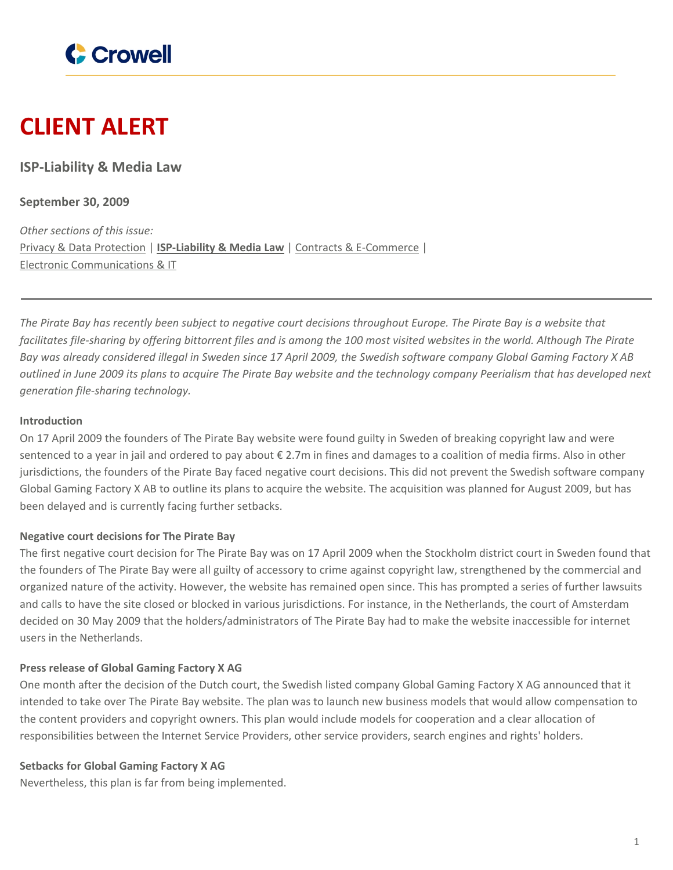

# **CLIENT ALERT**

**ISP-Liability & Media Law**

**September 30, 2009**

*Other sections of this issue:* Privacy & Data [Protection](https://www.crowell.com/newsevents/alertsnewsletters/all/1352318) | **[ISP-Liability](https://www.crowell.com/newsevents/alertsnewsletters/all/1352317) & Media Law** | Contracts & [E-Commerce](https://www.crowell.com/newsevents/alertsnewsletters/all/1352316) | Electronic [Communications](https://www.crowell.com/newsevents/alertsnewsletters/all/1352315) & IT

The Pirate Bay has recently been subject to negative court decisions throughout Europe. The Pirate Bay is a website that facilitates file-sharing by offering bittorrent files and is among the 100 most visited websites in the world. Although The Pirate Bay was already considered illegal in Sweden since 17 April 2009, the Swedish software company Global Gaming Factory X AB outlined in June 2009 its plans to acquire The Pirate Bay website and the technology company Peerialism that has developed next *generation file-sharing technology.*

#### **Introduction**

On 17 April 2009 the founders of The Pirate Bay website were found guilty in Sweden of breaking copyright law and were sentenced to a year in jail and ordered to pay about € 2.7m in fines and damages to a coalition of media firms. Also in other jurisdictions, the founders of the Pirate Bay faced negative court decisions. This did not prevent the Swedish software company Global Gaming Factory X AB to outline its plans to acquire the website. The acquisition was planned for August 2009, but has been delayed and is currently facing further setbacks.

## **Negative court decisions for The Pirate Bay**

The first negative court decision for The Pirate Bay was on 17 April 2009 when the Stockholm district court in Sweden found that the founders of The Pirate Bay were all guilty of accessory to crime against copyright law, strengthened by the commercial and organized nature of the activity. However, the website has remained open since. This has prompted a series of further lawsuits and calls to have the site closed or blocked in various jurisdictions. For instance, in the Netherlands, the court of Amsterdam decided on 30 May 2009 that the holders/administrators of The Pirate Bay had to make the website inaccessible for internet users in the Netherlands.

## **Press release of Global Gaming Factory X AG**

One month after the decision of the Dutch court, the Swedish listed company Global Gaming Factory X AG announced that it intended to take over The Pirate Bay website. The plan was to launch new business models that would allow compensation to the content providers and copyright owners. This plan would include models for cooperation and a clear allocation of responsibilities between the Internet Service Providers, other service providers, search engines and rights' holders.

#### **Setbacks for Global Gaming Factory X AG**

Nevertheless, this plan is far from being implemented.